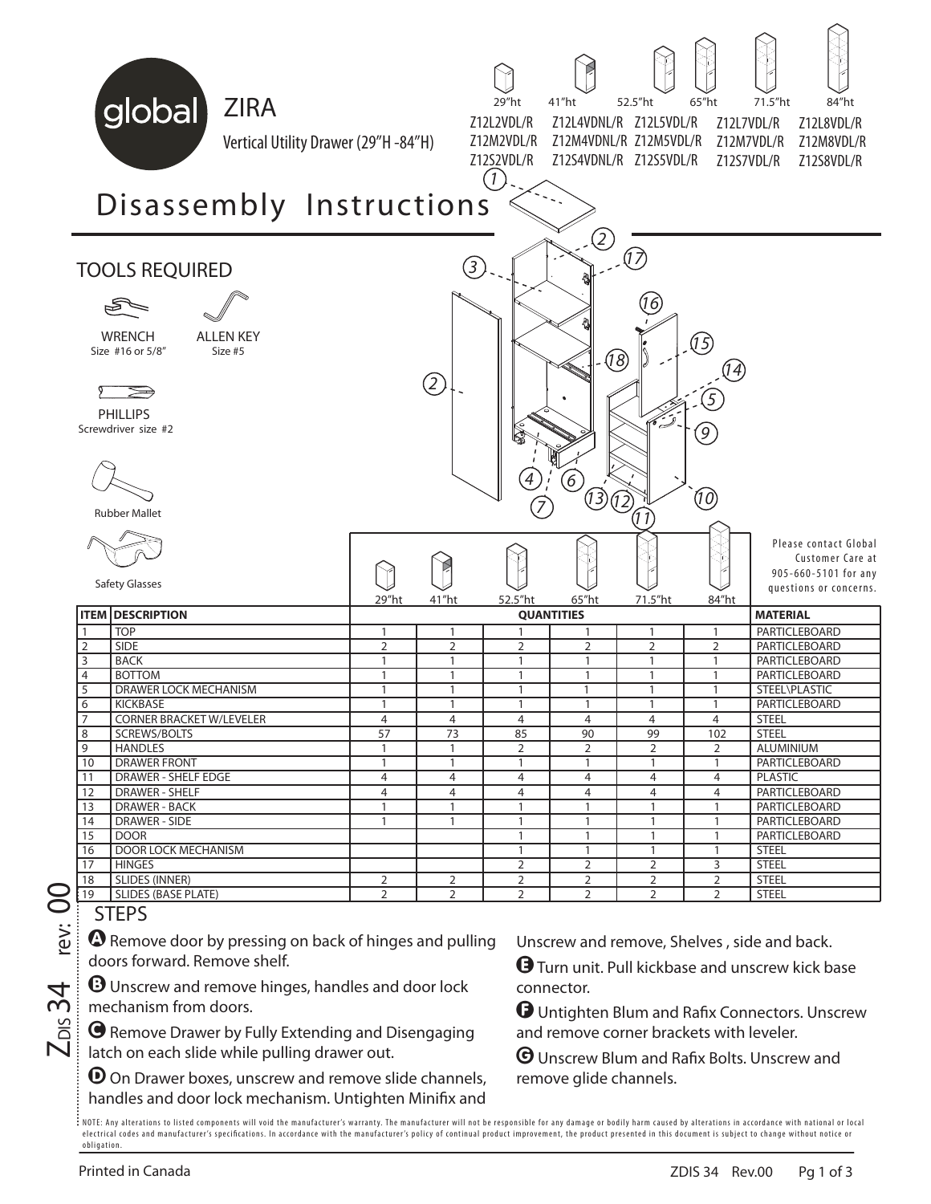

 $Z_{\text{\tiny{DIS}}}$ 34  $_{\text{rev: 00}}$ jev:

 $\overline{\mathcal{A}}$ ന് ᅙ  $\mathbf N$  A Remove door by pressing on back of hinges and pulling doors forward. Remove shelf.

**B** Unscrew and remove hinges, handles and door lock mechanism from doors.

C Remove Drawer by Fully Extending and Disengaging latch on each slide while pulling drawer out.

 $\Theta$  On Drawer boxes, unscrew and remove slide channels, handles and door lock mechanism. Untighten Minifix and Unscrew and remove, Shelves , side and back.

E Turn unit. Pull kickbase and unscrew kick base connector.

F Untighten Blum and Rafix Connectors. Unscrew and remove corner brackets with leveler.

G Unscrew Blum and Rafix Bolts. Unscrew and remove glide channels.

.<br>NOTE: Any alterations to listed components will void the manufacturer's warranty. The manufacturer will not be responsible for any damage or bodily harm caused by alterations in accordance with national or local electrical codes and manufacturer's specifications. In accordance with the manufacturer's policy of continual product improvement, the product presented in this document is subject to change without notice or obligation.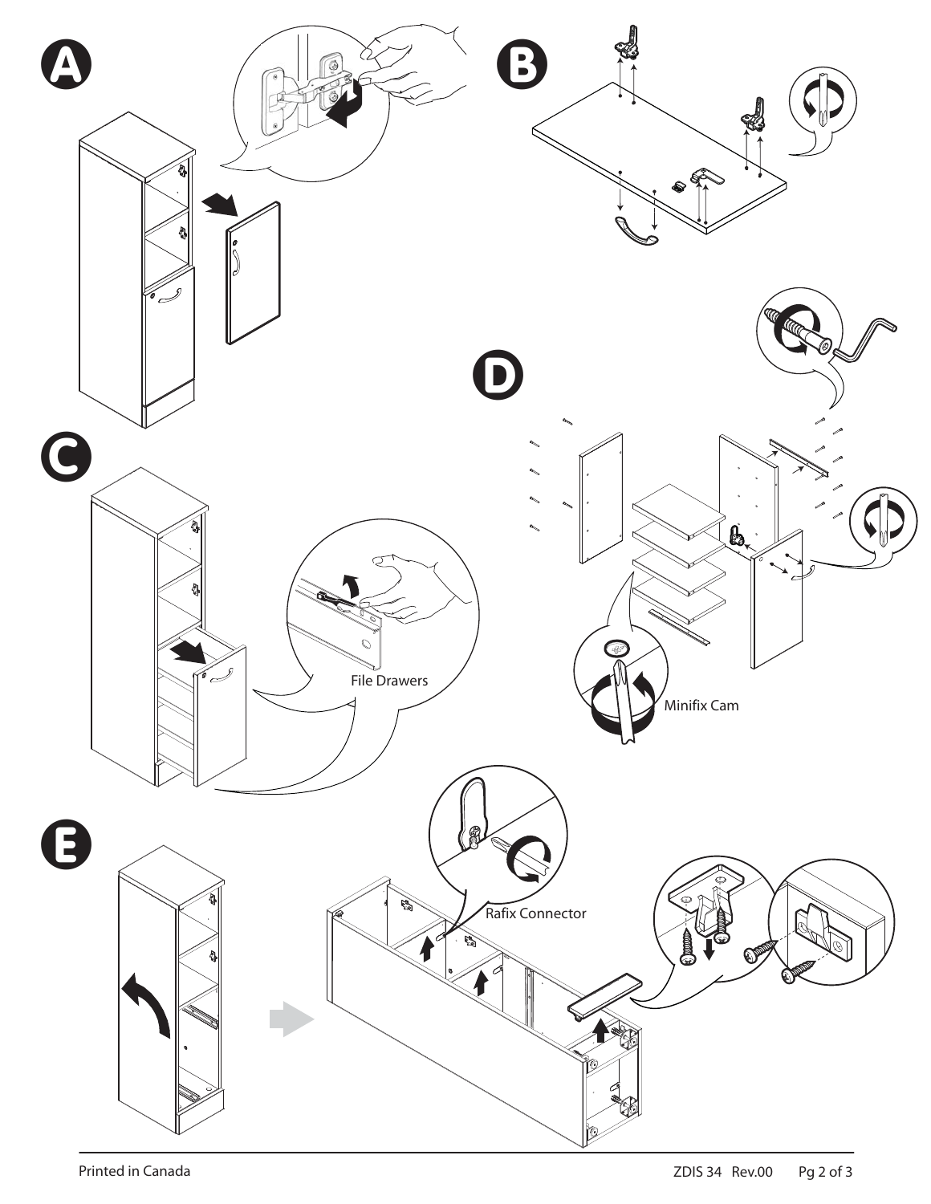